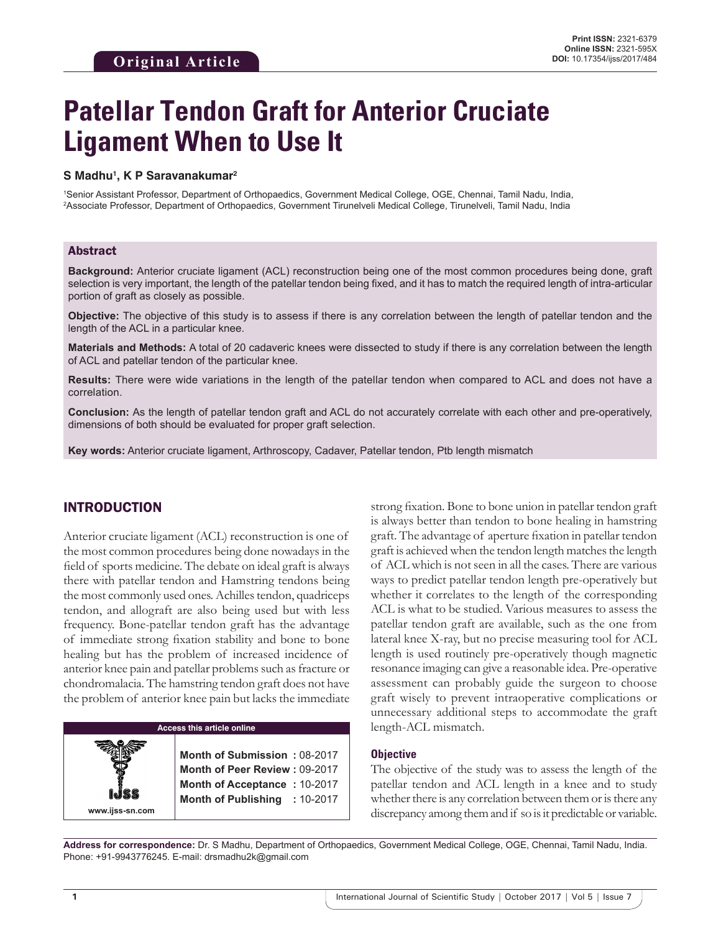# **Patellar Tendon Graft for Anterior Cruciate Ligament When to Use It**

#### **S Madhu1 , K P Saravanakumar2**

1 Senior Assistant Professor, Department of Orthopaedics, Government Medical College, OGE, Chennai, Tamil Nadu, India, 2 Associate Professor, Department of Orthopaedics, Government Tirunelveli Medical College, Tirunelveli, Tamil Nadu, India

#### Abstract

**Background:** Anterior cruciate ligament (ACL) reconstruction being one of the most common procedures being done, graft selection is very important, the length of the patellar tendon being fixed, and it has to match the required length of intra-articular portion of graft as closely as possible.

**Objective:** The objective of this study is to assess if there is any correlation between the length of patellar tendon and the length of the ACL in a particular knee.

**Materials and Methods:** A total of 20 cadaveric knees were dissected to study if there is any correlation between the length of ACL and patellar tendon of the particular knee.

**Results:** There were wide variations in the length of the patellar tendon when compared to ACL and does not have a correlation.

**Conclusion:** As the length of patellar tendon graft and ACL do not accurately correlate with each other and pre-operatively, dimensions of both should be evaluated for proper graft selection.

**Key words:** Anterior cruciate ligament, Arthroscopy, Cadaver, Patellar tendon, Ptb length mismatch

# INTRODUCTION

Anterior cruciate ligament (ACL) reconstruction is one of the most common procedures being done nowadays in the field of sports medicine. The debate on ideal graft is always there with patellar tendon and Hamstring tendons being the most commonly used ones. Achilles tendon, quadriceps tendon, and allograft are also being used but with less frequency. Bone-patellar tendon graft has the advantage of immediate strong fixation stability and bone to bone healing but has the problem of increased incidence of anterior knee pain and patellar problems such as fracture or chondromalacia. The hamstring tendon graft does not have the problem of anterior knee pain but lacks the immediate

#### **Access this article online**

**Month of Submission :** 08-2017 **Month of Peer Review :** 09-2017 **Month of Acceptance :** 10-2017 **Month of Publishing :** 10-2017 strong fixation. Bone to bone union in patellar tendon graft is always better than tendon to bone healing in hamstring graft. The advantage of aperture fixation in patellar tendon graft is achieved when the tendon length matches the length of ACL which is not seen in all the cases. There are various ways to predict patellar tendon length pre-operatively but whether it correlates to the length of the corresponding ACL is what to be studied. Various measures to assess the patellar tendon graft are available, such as the one from lateral knee X-ray, but no precise measuring tool for ACL length is used routinely pre-operatively though magnetic resonance imaging can give a reasonable idea. Pre-operative assessment can probably guide the surgeon to choose graft wisely to prevent intraoperative complications or unnecessary additional steps to accommodate the graft length-ACL mismatch.

#### **Objective**

The objective of the study was to assess the length of the patellar tendon and ACL length in a knee and to study whether there is any correlation between them or is there any discrepancy among them and if so is it predictable or variable.

**Address for correspondence:** Dr. S Madhu, Department of Orthopaedics, Government Medical College, OGE, Chennai, Tamil Nadu, India. Phone: +91-9943776245. E-mail: drsmadhu2k@gmail.com

**www.ijss-sn.com**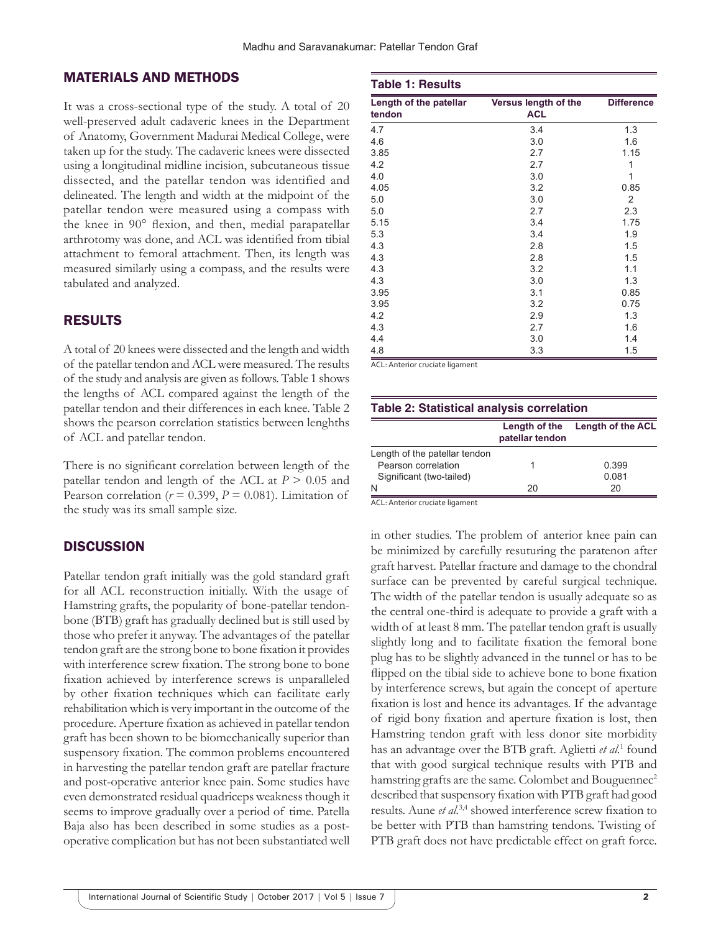### MATERIALS AND METHODS

It was a cross-sectional type of the study. A total of 20 well-preserved adult cadaveric knees in the Department of Anatomy, Government Madurai Medical College, were taken up for the study. The cadaveric knees were dissected using a longitudinal midline incision, subcutaneous tissue dissected, and the patellar tendon was identified and delineated. The length and width at the midpoint of the patellar tendon were measured using a compass with the knee in 90° flexion, and then, medial parapatellar arthrotomy was done, and ACL was identified from tibial attachment to femoral attachment. Then, its length was measured similarly using a compass, and the results were tabulated and analyzed.

### RESULTS

A total of 20 knees were dissected and the length and width of the patellar tendon and ACL were measured. The results of the study and analysis are given as follows. Table 1 shows the lengths of ACL compared against the length of the patellar tendon and their differences in each knee. Table 2 shows the pearson correlation statistics between lenghths of ACL and patellar tendon.

There is no significant correlation between length of the patellar tendon and length of the ACL at  $P > 0.05$  and Pearson correlation ( $r = 0.399$ ,  $P = 0.081$ ). Limitation of the study was its small sample size.

#### **DISCUSSION**

Patellar tendon graft initially was the gold standard graft for all ACL reconstruction initially. With the usage of Hamstring grafts, the popularity of bone-patellar tendonbone (BTB) graft has gradually declined but is still used by those who prefer it anyway. The advantages of the patellar tendon graft are the strong bone to bone fixation it provides with interference screw fixation. The strong bone to bone fixation achieved by interference screws is unparalleled by other fixation techniques which can facilitate early rehabilitation which is very important in the outcome of the procedure. Aperture fixation as achieved in patellar tendon graft has been shown to be biomechanically superior than suspensory fixation. The common problems encountered in harvesting the patellar tendon graft are patellar fracture and post-operative anterior knee pain. Some studies have even demonstrated residual quadriceps weakness though it seems to improve gradually over a period of time. Patella Baja also has been described in some studies as a postoperative complication but has not been substantiated well

| <b>Table 1: Results</b>          |                                    |                   |
|----------------------------------|------------------------------------|-------------------|
| Length of the patellar<br>tendon | Versus length of the<br><b>ACL</b> | <b>Difference</b> |
| 4.7                              | 3.4                                | 1.3               |
| 4.6                              | 3.0                                | 1.6               |
| 3.85                             | 2.7                                | 1.15              |
| 4.2                              | 2.7                                | 1                 |
| 4.0                              | 3.0                                | 1                 |
| 4.05                             | 3.2                                | 0.85              |
| 5.0                              | 3.0                                | 2                 |
| 5.0                              | 2.7                                | 2.3               |
| 5.15                             | 3.4                                | 1.75              |
| 5.3                              | 3.4                                | 1.9               |
| 4.3                              | 2.8                                | 1.5               |
| 4.3                              | 2.8                                | 1.5               |
| 4.3                              | 3.2                                | 1.1               |
| 4.3                              | 3.0                                | 1.3               |
| 3.95                             | 3.1                                | 0.85              |
| 3.95                             | 3.2                                | 0.75              |
| 4.2                              | 2.9                                | 1.3               |
| 4.3                              | 2.7                                | 1.6               |
| 4.4                              | 3.0                                | 1.4               |
| 4.8                              | 3.3                                | 1.5               |

ACL: Anterior cruciate ligament

| <b>Table 2: Statistical analysis correlation</b> |                 |                                 |  |
|--------------------------------------------------|-----------------|---------------------------------|--|
|                                                  | patellar tendon | Length of the Length of the ACL |  |
| Length of the patellar tendon                    |                 |                                 |  |
| Pearson correlation                              |                 | 0.399                           |  |
| Significant (two-tailed)                         |                 | 0.081                           |  |
| N                                                | 20              | 20                              |  |

ACL: Anterior cruciate ligament

in other studies. The problem of anterior knee pain can be minimized by carefully resuturing the paratenon after graft harvest. Patellar fracture and damage to the chondral surface can be prevented by careful surgical technique. The width of the patellar tendon is usually adequate so as the central one-third is adequate to provide a graft with a width of at least 8 mm. The patellar tendon graft is usually slightly long and to facilitate fixation the femoral bone plug has to be slightly advanced in the tunnel or has to be flipped on the tibial side to achieve bone to bone fixation by interference screws, but again the concept of aperture fixation is lost and hence its advantages. If the advantage of rigid bony fixation and aperture fixation is lost, then Hamstring tendon graft with less donor site morbidity has an advantage over the BTB graft. Aglietti *et al.*<sup>1</sup> found that with good surgical technique results with PTB and hamstring grafts are the same. Colombet and Bouguennec<sup>2</sup> described that suspensory fixation with PTB graft had good results. Aune *et al.*3,4 showed interference screw fixation to be better with PTB than hamstring tendons. Twisting of PTB graft does not have predictable effect on graft force.